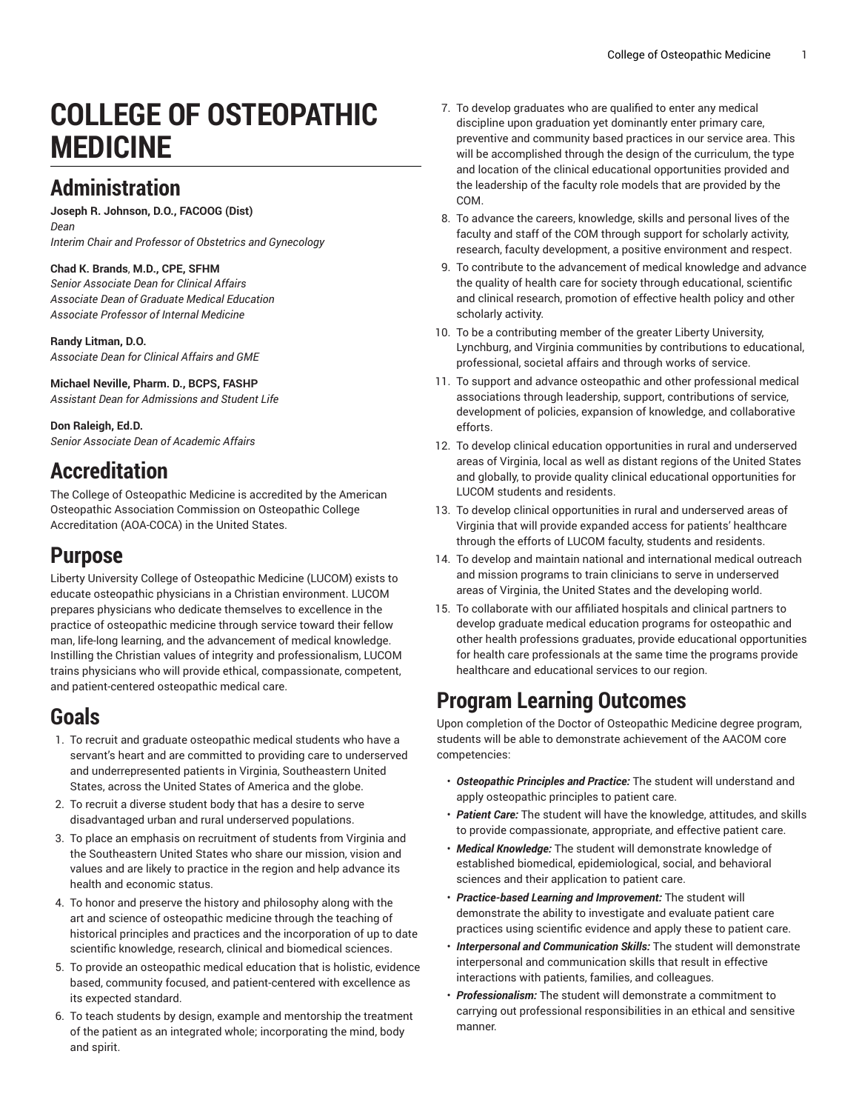# **COLLEGE OF OSTEOPATHIC MEDICINE**

### **Administration**

**Joseph R. Johnson, D.O., FACOOG (Dist)** *Dean Interim Chair and Professor of Obstetrics and Gynecology*

#### **Chad K. Brands**, **M.D., CPE, SFHM**

*Senior Associate Dean for Clinical Affairs Associate Dean of Graduate Medical Education Associate Professor of Internal Medicine*

**Randy Litman, D.O.** *Associate Dean for Clinical Affairs and GME*

**Michael Neville, Pharm. D., BCPS, FASHP** *Assistant Dean for Admissions and Student Life*

**Don Raleigh, Ed.D.** *Senior Associate Dean of Academic Affairs*

## **Accreditation**

The College of Osteopathic Medicine is accredited by the American Osteopathic Association Commission on Osteopathic College Accreditation (AOA-COCA) in the United States.

#### **Purpose**

Liberty University College of [Osteopathic](https://www.liberty.edu/lucom/) Medicine (LUCOM) exists to educate osteopathic physicians in a Christian environment. LUCOM prepares physicians who dedicate themselves to excellence in the practice of osteopathic medicine through service toward their fellow man, life-long learning, and the advancement of medical knowledge. Instilling the Christian values of integrity and professionalism, LUCOM trains physicians who will provide ethical, compassionate, competent, and patient-centered osteopathic medical care.

# **Goals**

- 1. To recruit and graduate osteopathic medical students who have a servant's heart and are committed to providing care to underserved and underrepresented patients in Virginia, Southeastern United States, across the United States of America and the globe.
- 2. To recruit a diverse student body that has a desire to serve disadvantaged urban and rural underserved populations.
- 3. To place an emphasis on recruitment of students from Virginia and the Southeastern United States who share our mission, vision and values and are likely to practice in the region and help advance its health and economic status.
- 4. To honor and preserve the history and philosophy along with the art and science of osteopathic medicine through the teaching of historical principles and practices and the incorporation of up to date scientific knowledge, research, clinical and biomedical sciences.
- 5. To provide an osteopathic medical education that is holistic, evidence based, community focused, and patient-centered with excellence as its expected standard.
- 6. To teach students by design, example and mentorship the treatment of the patient as an integrated whole; incorporating the mind, body and spirit.
- 7. To develop graduates who are qualified to enter any medical discipline upon graduation yet dominantly enter primary care, preventive and community based practices in our service area. This will be accomplished through the design of the curriculum, the type and location of the clinical educational opportunities provided and the leadership of the faculty role models that are provided by the COM.
- 8. To advance the careers, knowledge, skills and personal lives of the faculty and staff of the COM through support for scholarly activity, research, faculty development, a positive environment and respect.
- 9. To contribute to the advancement of medical knowledge and advance the quality of health care for society through educational, scientific and clinical research, promotion of effective health policy and other scholarly activity.
- 10. To be a contributing member of the greater Liberty University, Lynchburg, and Virginia communities by contributions to educational, professional, societal affairs and through works of service.
- 11. To support and advance osteopathic and other professional medical associations through leadership, support, contributions of service, development of policies, expansion of knowledge, and collaborative efforts.
- 12. To develop clinical education opportunities in rural and underserved areas of Virginia, local as well as distant regions of the United States and globally, to provide quality clinical educational opportunities for LUCOM students and residents.
- 13. To develop clinical opportunities in rural and underserved areas of Virginia that will provide expanded access for patients' healthcare through the efforts of LUCOM faculty, students and residents.
- 14. To develop and maintain national and international medical outreach and mission programs to train clinicians to serve in underserved areas of Virginia, the United States and the developing world.
- 15. To collaborate with our affiliated hospitals and clinical partners to develop graduate medical education programs for osteopathic and other health professions graduates, provide educational opportunities for health care professionals at the same time the programs provide healthcare and educational services to our region.

# **Program Learning Outcomes**

Upon completion of the Doctor of Osteopathic Medicine degree program, students will be able to demonstrate achievement of the AACOM core competencies:

- *Osteopathic Principles and Practice:* The student will understand and apply osteopathic principles to patient care.
- *Patient Care:* The student will have the knowledge, attitudes, and skills to provide compassionate, appropriate, and effective patient care.
- *Medical Knowledge:* The student will demonstrate knowledge of established biomedical, epidemiological, social, and behavioral sciences and their application to patient care.
- *Practice-based Learning and Improvement:* The student will demonstrate the ability to investigate and evaluate patient care practices using scientific evidence and apply these to patient care.
- *Interpersonal and Communication Skills:* The student will demonstrate interpersonal and communication skills that result in effective interactions with patients, families, and colleagues.
- *Professionalism:* The student will demonstrate a commitment to carrying out professional responsibilities in an ethical and sensitive manner.